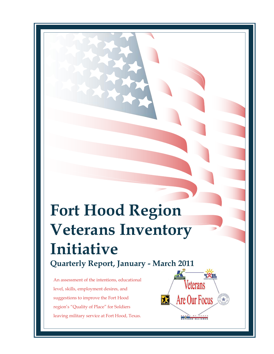# **Fort Hood Region Veterans Inventory Initiative Quarterly Report, January - March 2011**

An assessment of the intentions, educational level, skills, employment desires, and suggestions to improve the Fort Hood region's "Quality of Place" for Soldiers leaving military service at Fort Hood, Texas.

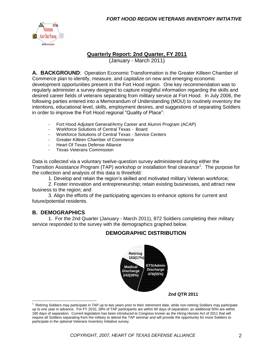

#### **Quarterly Report: 2nd Quarter, FY 2011**

(January - March 2011)

**A. BACKGROUND**: Operation Economic Transformation is the Greater Killeen Chamber of Commerce plan to identify, measure, and capitalize on new and emerging economic development opportunities present in the Fort Hood region. One key recommendation was to regularly administer a survey designed to capture insightful information regarding the skills and desired career fields of veterans separating from military service at Fort Hood. In July 2006, the following parties entered into a Memorandum of Understanding (MOU) to routinely inventory the intentions, educational level, skills, employment desires, and suggestions of separating Soldiers in order to improve the Fort Hood regional "Quality of Place":

- Fort Hood Adjutant General/Army Career and Alumni Program (ACAP)
- Workforce Solutions of Central Texas Board<br>- Workforce Solutions of Central Texas Service
- Workforce Solutions of Central Texas Service Centers
- Greater Killeen Chamber of Commerce
- Heart Of Texas Defense Alliance
- Texas Veterans Commission

Data is collected via a voluntary twelve-question survey administered during either the Transition Assistance Program (TAP) workshop or installation final clearance<sup>1</sup>. The purpose for the collection and analysis of this data is threefold:

1. Develop and retain the region's skilled and motivated military Veteran workforce;

2. Foster innovation and entrepreneurship; retain existing businesses, and attract new business to the region; and

3. Align the efforts of the participating agencies to enhance options for current and future/potential residents.

#### **B. DEMOGRAPHICS**

 $\overline{a}$ 

1. For the 2nd Quarter (January - March 2011), 872 Soldiers completing their military service responded to the survey with the demographics graphed below.

#### **DEMOGRAPHIC DISTRIBUTION**



**2nd QTR 2011**

<sup>1</sup> Retiring Soldiers may participate in TAP up to two years prior to their retirement date, while non-retiring Soldiers may participate up to one year in advance. For FY 2010, 28% of TAP participants are within 90 days of separation; an additional 50% are within 180 days of separation. Current legislation has been introduced to Congress known as the Hiring Heroes Act of 2011 that will require all Soldiers separating from the military to attend the TAP seminar and will provide the opportunity for more Soldiers to participate in the optional Veterans Inventory Initiative survey.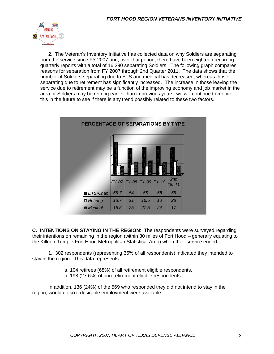

2. The Veteran's Inventory Initiative has collected data on why Soldiers are separating from the service since FY 2007 and, over that period, there have been eighteen recurring quarterly reports with a total of 16,390 separating Soldiers. The following graph compares reasons for separation from FY 2007 through 2nd Quarter 2011. The data shows that the number of Soldiers separating due to ETS and medical has decreased, whereas those separating due to retirement has significantly increased. The increase in those leaving the service due to retirement may be a function of the improving economy and job market in the area or Soldiers may be retiring earlier than in previous years; we will continue to monitor this in the future to see if there is any trend possibly related to these two factors.



**C. INTENTIONS ON STAYING IN THE REGION**: The respondents were surveyed regarding their intentions on remaining in the region (within 30 miles of Fort Hood – generally equating to the Killeen-Temple-Fort Hood Metropolitan Statistical Area) when their service ended.

1. 302 respondents (representing 35% of all respondents) indicated they intended to stay in the region. This data represents:

- a. 104 retirees (68%) of all retirement eligible respondents.
- b. 198 (27.6%) of non-retirement eligible respondents.

In addition, 136 (24%) of the 569 who responded they did not intend to stay in the region, would do so if desirable employment were available.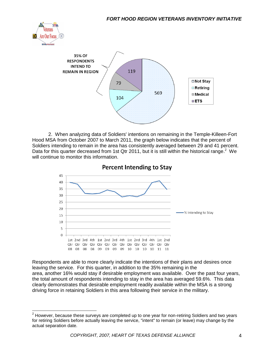



2. When analyzing data of Soldiers' intentions on remaining in the Temple-Killeen-Fort Hood MSA from October 2007 to March 2011, the graph below indicates that the percent of Soldiers intending to remain in the area has consistently averaged between 29 and 41 percent. Data for this quarter decreased from 1st Qtr 2011, but it is still within the historical range.<sup>2</sup> We will continue to monitor this information.



**Percent Intending to Stay** 

Respondents are able to more clearly indicate the intentions of their plans and desires once leaving the service. For this quarter, in addition to the 35% remaining in the area, another 16% would stay if desirable employment was available. Over the past four years, the total amount of respondents intending to stay in the area has averaged 59.6%. This data clearly demonstrates that desirable employment readily available within the MSA is a strong driving force in retaining Soldiers in this area following their service in the military.

 $2$  However, because these surveys are completed up to one year for non-retiring Soldiers and two years for retiring Soldiers before actually leaving the service, "intent" to remain (or leave) may change by the actual separation date.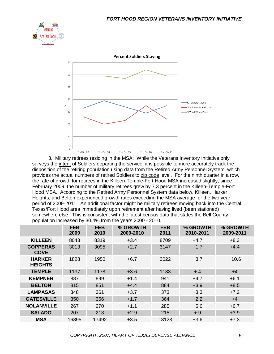



3. Military retirees residing in the MSA: While the Veterans Inventory Initiative only surveys the intent of Soldiers departing the service, it is possible to more accurately track the disposition of the retiring population using data from the Retired Army Personnel System, which provides the actual numbers of retired Soldiers to zip code level. For the ninth quarter in a row, the rate of growth for retirees in the Killeen-Temple-Fort Hood MSA increased slightly; since February 2009, the number of military retirees grew by 7.3 percent in the Killeen-Temple-Fort Hood MSA. According to the Retired Army Personnel System data below, Killeen, Harker Heights, and Belton experienced growth rates exceeding the MSA average for the two year period of 2009-2011. An additional factor might be military retirees moving back into the Central Texas/Fort Hood area immediately upon retirement after having lived (been stationed) somewhere else. This is consistent with the latest census data that states the Bell County population increased by 30.4% from the years 2000 - 2010.

|                                 | <b>FEB</b><br>2009 | <b>FEB</b><br>2010 | % GROWTH<br>2009-2010 | <b>FEB</b><br>2011 | % GROWTH<br>2010-2011 | % GROWTH<br>2009-2011 |
|---------------------------------|--------------------|--------------------|-----------------------|--------------------|-----------------------|-----------------------|
| <b>KILLEEN</b>                  | 8043               | 8319               | $+3.4$                | 8709               | $+4.7$                | $+8.3$                |
| <b>COPPERAS</b><br><b>COVE</b>  | 3013               | 3095               | $+2.7$                | 3147               | $+1.7$                | $+4.4$                |
| <b>HARKER</b><br><b>HEIGHTS</b> | 1828               | 1950               | $+6.7$                | 2022               | $+3.7$                | $+10.6$               |
| <b>TEMPLE</b>                   | 1137               | 1178               | $+3.6$                | 1183               | $+.4$                 | $+4$                  |
| <b>KEMPNER</b>                  | 887                | 899                | $+1.4$                | 941                | $+4.7$                | $+6.1$                |
| <b>BELTON</b>                   | 815                | 851                | $+4.4$                | 884                | $+3.9$                | $+8.5$                |
| <b>LAMPASAS</b>                 | 348                | 361                | $+3.7$                | 373                | $+3.3$                | $+7.2$                |
| <b>GATESVILLE</b>               | 350                | 356                | $+1.7$                | 364                | $+2.2$                | $+4$                  |
| <b>NOLANVILLE</b>               | 267                | 270                | $+1.1$                | 285                | $+5.6$                | $+6.7$                |
| <b>SALADO</b>                   | 207                | 213                | $+2.9$                | 215                | $+.9$                 | $+3.9$                |
| <b>MSA</b>                      | 16895              | 17492              | $+3.5$                | 18123              | $+3.6$                | $+7.3$                |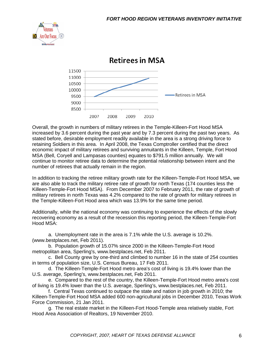



**Retirees in MSA** 

Overall, the growth in numbers of military retirees in the Temple-Killeen-Fort Hood MSA increased by 3.6 percent during the past year and by 7.3 percent during the past two years. As stated before, desirable employment readily available in the area is a strong driving force to retaining Soldiers in this area. In April 2008, the Texas Comptroller certified that the direct economic impact of military retirees and surviving annuitants in the Killeen, Temple, Fort Hood MSA (Bell, Coryell and Lampasas counties) equates to \$791.5 million annually. We will continue to monitor retiree data to determine the potential relationship between intent and the number of retirees that actually remain in the region.

In addition to tracking the retiree military growth rate for the Killeen-Temple-Fort Hood MSA, we are also able to track the military retiree rate of growth for north Texas (174 counties less the Killeen-Temple-Fort Hood MSA). From December 2007 to February 2011, the rate of growth of military retirees in north Texas was 4.2% compared to the rate of growth for military retirees in the Temple-Killeen-Fort Hood area which was 13.9% for the same time period.

Additionally, while the national economy was continuing to experience the effects of the slowly recovering economy as a result of the recession this reporting period, the Killeen-Temple-Fort Hood MSA:

a. Unemployment rate in the area is 7.1% while the U.S. average is 10.2%. (www.bestplaces.net, Feb 2011).

b. Population growth of 15.07% since 2000 in the Killeen-Temple-Fort Hood metropolitan area, Sperling's, www.bestplaces.net, Feb 2011.

c. Bell County grew by one-third and climbed to number 16 in the state of 254 counties in terms of population size, U.S. Census Bureau, 17 Feb 2011.

d. The Killeen-Temple-Fort Hood metro area's cost of living is 19.4% lower than the U.S. average, Sperling's, www.bestplaces.net, Feb 2011.

e. Compared to the rest of the country, the Killeen-Temple-Fort Hood metro area's cost of living is 19.4% lower than the U.S. average, Sperling's, www.bestplaces.net, Feb 2011.

f. Central Texas continued to outpace the state and nation in job growth in 2010; the Killeen-Temple-Fort Hood MSA added 600 non-agricultural jobs in December 2010, Texas Work Force Commission, 21 Jan 2011.

g. The real estate market in the Killeen-Fort Hood-Temple area relatively stable, Fort Hood Area Association of Realtors, 19 November 2010.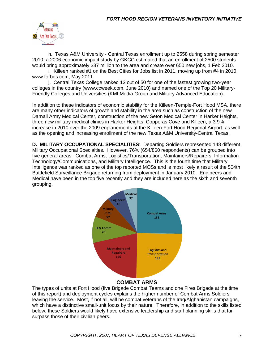

h. Texas A&M University - Central Texas enrollment up to 2558 during spring semester 2010; a 2006 economic impact study by GKCC estimated that an enrollment of 2500 students would bring approximately \$37 million to the area and create over 650 new jobs, 1 Feb 2010.

i. Killeen ranked #1 on the Best Cities for Jobs list in 2011, moving up from #4 in 2010, www.forbes.com, May 2011.

j. Central Texas College ranked 13 out of 50 for one of the fastest growing two-year colleges in the country (www.ccweek.com, June 2010) and named one of the Top 20 Military-Friendly Colleges and Universities (KMI Media Group and Military Advanced Education).

In addition to these indicators of economic stability for the Killeen-Temple-Fort Hood MSA, there are many other indicators of growth and stability in the area such as construction of the new Darnall Army Medical Center, construction of the new Seton Medical Center in Harker Heights, three new military medical clinics in Harker Heights, Copperas Cove and Killeen, a 3.9% increase in 2010 over the 2009 enplanements at the Killeen-Fort Hood Regional Airport, as well as the opening and increasing enrollment of the new Texas A&M University-Central Texas.

**D. MILITARY OCCUPATIONAL SPECIALITIES**: Departing Soldiers represented 148 different Military Occupational Specialties. However, 76% (654/860 respondents) can be grouped into five general areas: Combat Arms, Logistics/Transportation, Maintainers/Repairers, Information Technology/Communications, and Military Intelligence. This is the fourth time that Military Intelligence was ranked as one of the top reported MOSs and is most likely a result of the 504th Battlefield Surveillance Brigade returning from deployment in January 2010. Engineers and Medical have been in the top five recently and they are included here as the sixth and seventh grouping.



#### **COMBAT ARMS**

The types of units at Fort Hood (five Brigade Combat Teams and one Fires Brigade at the time of this report) and deployment cycles explains the higher number of Combat Arms Soldiers leaving the service. Most, if not all, will be combat veterans of the Iraq/Afghanistan campaigns, which have a distinctive small-unit focus by their nature. Therefore, in addition to the skills listed below, these Soldiers would likely have extensive leadership and staff planning skills that far surpass those of their civilian peers.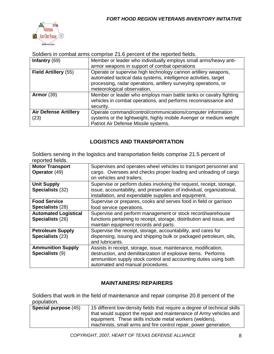

Soldiers in combat arms comprise 21.6 percent of the reported fields.

| Infantry $(69)$                      | Member or leader who individually employs small arms/heavy anti-                                                                                                                                                                      |
|--------------------------------------|---------------------------------------------------------------------------------------------------------------------------------------------------------------------------------------------------------------------------------------|
|                                      | armor weapons in support of combat operations                                                                                                                                                                                         |
| Field Artillery (55)                 | Operate or supervise high technology cannon artillery weapons,<br>automated tactical data systems, intelligence activities, target<br>processing, radar operations, artillery surveying operations, or<br>meteorological observation. |
| Armor $(39)$                         | Member or leader who employs main battle tanks or cavalry fighting<br>vehicles in combat operations, and performs reconnaissance and<br>security.                                                                                     |
| <b>Air Defense Artillery</b><br>(23) | Operate command/control/communications/computer information<br>systems or the lightweight, highly mobile Avenger or medium weight<br>Patriot Air Defense Missile systems.                                                             |

### **LOGISTICS AND TRANSPORTATION**

Soldiers serving in the logistics and transportation fields comprise 21.5 percent of reported fields.

| <b>Motor Transport</b><br><b>Operator</b> (49) | Supervises and operates wheel vehicles to transport personnel and<br>cargo. Oversees and checks proper loading and unloading of cargo |
|------------------------------------------------|---------------------------------------------------------------------------------------------------------------------------------------|
|                                                | on vehicles and trailers.                                                                                                             |
| <b>Unit Supply</b>                             | Supervise or perform duties involving the request, receipt, storage,                                                                  |
| Specialists (32)                               | issue, accountability, and preservation of individual, organizational,                                                                |
|                                                | installation, and expendable supplies and equipment.                                                                                  |
| <b>Food Service</b>                            | Supervise or prepares, cooks and serves food in field or garrison                                                                     |
| <b>Specialists (28)</b>                        | food service operations.                                                                                                              |
| <b>Automated Logistical</b>                    | Supervise and perform management or stock record/warehouse                                                                            |
| Specialists (26)                               | functions pertaining to receipt, storage, distribution and issue, and                                                                 |
|                                                | maintain equipment records and parts.                                                                                                 |
| <b>Petroleum Supply</b>                        | Supervise the receipt, storage, accountability, and cares for                                                                         |
| Specialists (23)                               | dispensing, issuing and shipping bulk or packaged petroleum, oils,                                                                    |
|                                                | and lubricants.                                                                                                                       |
| <b>Ammunition Supply</b>                       | Assists in receipt, storage, issue, maintenance, modification,                                                                        |
| <b>Specialists (9)</b>                         | destruction, and demilitarization of explosive items. Performs                                                                        |
|                                                | ammunition supply stock control and accounting duties using both                                                                      |
|                                                | automated and manual procedures.                                                                                                      |

#### **MAINTAINERS/ REPAIRERS**

Soldiers that work in the field of maintenance and repair comprise 20.8 percent of the population.

| Special purpose (45) | 15 different low-density fields that require a degree of technical skills |  |  |
|----------------------|---------------------------------------------------------------------------|--|--|
|                      | that would support the repair and maintenance of Army vehicles and        |  |  |
|                      | equipment. These skills include metal workers (welders),                  |  |  |
|                      | machinists, small arms and fire control repair, power generation,         |  |  |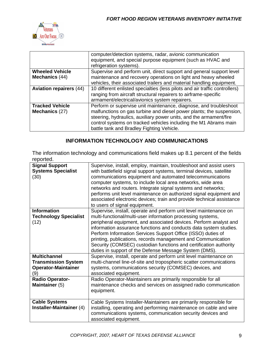

| computer/detection systems, radar, avionic communication                    |  |  |
|-----------------------------------------------------------------------------|--|--|
| equipment, and special purpose equipment (such as HVAC and                  |  |  |
|                                                                             |  |  |
| Supervise and perform unit, direct support and general support level        |  |  |
|                                                                             |  |  |
| vehicles, their associated trailers and material handling equipment.        |  |  |
| 10 different enlisted specialties (less pilots and air traffic controllers) |  |  |
|                                                                             |  |  |
|                                                                             |  |  |
| Perform or supervise unit maintenance, diagnose, and troubleshoot           |  |  |
| malfunctions on gas turbine and diesel power plants; the suspension,        |  |  |
|                                                                             |  |  |
| control systems on tracked vehicles including the M1 Abrams main            |  |  |
|                                                                             |  |  |
|                                                                             |  |  |

## **INFORMATION TECHNOLOGY AND COMMUNICATIONS**

The information technology and communications field makes up 8.1 percent of the fields reported.

| <br><b>Signal Support</b><br><b>Systems Specialist</b><br>(30)                         | Supervise, install, employ, maintain, troubleshoot and assist users<br>with battlefield signal support systems, terminal devices, satellite<br>communications equipment and automated telecommunications<br>computer systems, to include local area networks, wide area<br>networks and routers. Integrate signal systems and networks;<br>performs unit level maintenance on authorized signal equipment and<br>associated electronic devices; train and provide technical assistance<br>to users of signal equipment.                   |
|----------------------------------------------------------------------------------------|-------------------------------------------------------------------------------------------------------------------------------------------------------------------------------------------------------------------------------------------------------------------------------------------------------------------------------------------------------------------------------------------------------------------------------------------------------------------------------------------------------------------------------------------|
| <b>Information</b><br><b>Technology Specialist</b><br>(12)                             | Supervise, install, operate and perform unit level maintenance on<br>multi-functional/multi-user information processing systems,<br>peripheral equipment, and associated devices. Perform analyst and<br>information assurance functions and conducts data system studies.<br>Perform Information Services Support Office (ISSO) duties of<br>printing, publications, records management and Communication<br>Security (COMSEC) custodian functions and certification authority<br>duties in support of the Defense Message System (DMS). |
| <b>Multichannel</b><br><b>Transmission System</b><br><b>Operator-Maintainer</b><br>(9) | Supervise, install, operate and perform unit level maintenance on<br>multi-channel line-of-site and tropospheric scatter communications<br>systems, communications security (COMSEC) devices, and<br>associated equipment.                                                                                                                                                                                                                                                                                                                |
| <b>Radio Operator-</b><br>Maintainer (5)                                               | Radio Operator-Maintainers are primarily responsible for all<br>maintenance checks and services on assigned radio communication<br>equipment.                                                                                                                                                                                                                                                                                                                                                                                             |
| <b>Cable Systems</b><br>Installer-Maintainer (4)                                       | Cable Systems Installer-Maintainers are primarily responsible for<br>installing, operating and performing maintenance on cable and wire<br>communications systems, communication security devices and<br>associated equipment.                                                                                                                                                                                                                                                                                                            |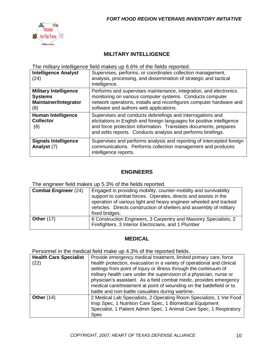

## **MILITARY INTELLIGENCE**

The military intelligence field makes up 6.6% of the fields reported.

| <b>Intelligence Analyst</b><br>(24)                                                   | Supervises, performs, or coordinates collection management,<br>analysis, processing, and dissemination of strategic and tactical<br>intelligence.                                                                                                                         |
|---------------------------------------------------------------------------------------|---------------------------------------------------------------------------------------------------------------------------------------------------------------------------------------------------------------------------------------------------------------------------|
| <b>Military Intelligence</b><br><b>Systems</b><br><b>Maintainer/Integrator</b><br>(8) | Performs and supervises maintenance, integration, and electronics<br>monitoring on various computer systems. Conducts computer<br>network operations, installs and reconfigures computer hardware and<br>software and authors web applications.                           |
| <b>Human Intelligence</b><br><b>Collector</b><br>(8)                                  | Supervises and conducts debriefings and interrogations and<br>elicitations in English and foreign languages for positive intelligence<br>and force protection information. Translates documents, prepares<br>and edits reports. Conducts analysis and performs briefings. |
| <b>Signals Intelligence</b><br>Analyst (7)                                            | Supervises and performs analysis and reporting of intercepted foreign<br>communications. Performs collection management and produces<br>intelligence reports.                                                                                                             |

#### **ENGINEERS**

The engineer field makes up 5.3% of the fields reported.

| <b>Combat Engineer (24)</b> | Engaged in providing mobility, counter-mobility and survivability<br>support to combat forces. Operates, directs and assists in the<br>operation of various light and heavy engineer wheeled and tracked<br>vehicles. Directs construction of shelters and assembly of military<br>fixed bridges. |
|-----------------------------|---------------------------------------------------------------------------------------------------------------------------------------------------------------------------------------------------------------------------------------------------------------------------------------------------|
| <b>Other (17)</b>           | 8 Construction Engineers, 3 Carpentry and Masonry Specialists, 2<br>Firefighters, 3 Interior Electricians, and 1 Plumber                                                                                                                                                                          |

#### **MEDICAL**

Personnel in the medical field make up 4.3% of the reported fields.

| <b>Health Care Specialist</b><br>(22) | Provide emergency medical treatment, limited primary care, force<br>health protection, evacuation in a variety of operational and clinical<br>settings from point of injury or illness through the continuum of<br>military health care under the supervision of a physician, nurse or<br>physician's assistant. As a field combat medic, provides emergency<br>medical care/treatment at point of wounding on the battlefield or to<br>battle and non-battle casualties during wartime. |
|---------------------------------------|------------------------------------------------------------------------------------------------------------------------------------------------------------------------------------------------------------------------------------------------------------------------------------------------------------------------------------------------------------------------------------------------------------------------------------------------------------------------------------------|
| Other $(14)$                          | 2 Medical Lab Specialists, 2 Operating Room Specialists, 1 Vet Food<br>Insp Spec, 1 Nutrition Care Spec, 1 Biomedical Equipment<br>Specialist, 1 Patient Admin Spec, 1 Animal Care Spec, 1 Respiratory<br><b>Spec</b>                                                                                                                                                                                                                                                                    |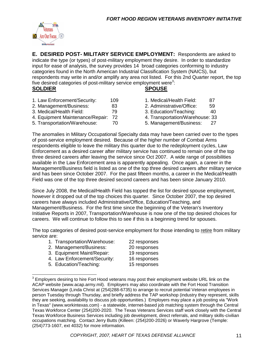

**E. DESIRED POST- MILITARY SERVICE EMPLOYMENT:** Respondents are asked to indicate the type (or types) of post-military employment they desire. In order to standardize input for ease of analysis, the survey provides 14 broad categories conforming to industry categories found in the North American Industrial Classification System (NAICS), but respondents may write in and/or amplify any area not listed. For this 2nd Quarter report, the top five desired categories of post-military service employment were<sup>3</sup>: **SOLDIER SPOUSE**

- 1. Law Enforcement/Security: 109 1. Medical/Health Field: 87
- 2. Management/Business: 83 2. Administrative/Office: 59
- 3. Medical/Health Field: 79 3. Education/Teaching: 40
- 4. Equipment Maintenance/Repair: 72 4. Transportation/Warehouse: 33
- 5. Transportation/Warehouse: 70 5. Management/Business: 27
- 
- 
- 
- -

The anomalies in Military Occupational Specialty data may have been carried over to the types of post-service employment desired. Because of the higher number of Combat Arms respondents eligible to leave the military this quarter due to the redeployment cycles, Law Enforcement as a desired career after military service has continued to remain one of the top three desired careers after leaving the service since Oct 2007. A wide range of possibilities available in the Law Enforcement area is apparently appealing. Once again, a career in the Management/Business field is listed as one of the top three desired careers after military service and has been since October 2007. For the past fifteen months, a career in the Medical/Health Field was one of the top three desired second careers and has been since January 2010.

Since July 2008, the Medical/Health Field has topped the list for desired spouse employment, however it dropped out of the top choices this quarter. Since October 2007, the top desired careers have always included Administrative/Office, Education/Teaching, and Management/Business. For the first time since the beginning of the Veteran's Inventory Initiative Reports in 2007, Transportation/Warehouse is now one of the top desired choices for careers. We will continue to follow this to see if this is a beginning trend for spouses.

The top categories of desired post-service employment for those intending to retire from military service are:

| 1. Transportation/Warehouse: | 22 responses |
|------------------------------|--------------|
| 2. Management/Business:      | 20 responses |
| 3. Equipment Maint/Repair:   | 19 responses |

- 4. Law Enforcement/Security: 16 responses
- 5. Education/Teaching: 15 responses
- 

 $3$  Employers desiring to hire Fort Hood veterans may post their employment website URL link on the ACAP website (www.acap.army.mil). Employers may also coordinate with the Fort Hood Transition Services Manager (Linda Christ at (254)288-6735) to arrange to recruit potential Veteran employees in person Tuesday through Thursday, and briefly address the TAP workshop (industry they represent, skills they are seeking, availability to discuss job opportunities.) Employers may place a job posting via "Work in Texas" (www.workintexas.com) - a statewide, internet-based job matching system through the Central Texas Workforce Center (254)200-2020. The Texas Veterans Services staff work closely with the Central Texas Workforce Business Services including job development, direct referrals, and military skills-civilian occupations matching. Contact Jerry Butts (Killeen: (254)200-2026) or Waverly Hargrove (Temple: (254)773-1607, ext 4032) for more information.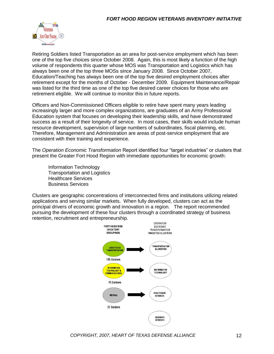

Retiring Soldiers listed Transportation as an area for post-service employment which has been one of the top five choices since October 2008. Again, this is most likely a function of the high volume of respondents this quarter whose MOS was Transportation and Logistics which has always been one of the top three MOSs since January 2008. Since October 2007, Education/Teaching has always been one of the top five desired employment choices after retirement except for the months of October - December 2009. Equipment Maintenance/Repair was listed for the third time as one of the top five desired career choices for those who are retirement eligible. We will continue to monitor this in future reports.

Officers and Non-Commissioned Officers eligible to retire have spent many years leading increasingly larger and more complex organizations, are graduates of an Army Professional Education system that focuses on developing their leadership skills, and have demonstrated success as a result of their longevity of service. In most cases, their skills would include human resource development, supervision of large numbers of subordinates, fiscal planning, etc. Therefore, Management and Administration are areas of post-service employment that are consistent with their training and experience.

The *Operation Economic Transformation* Report identified four "target industries" or clusters that present the Greater Fort Hood Region with immediate opportunities for economic growth:

Information Technology Transportation and Logistics Healthcare Services Business Services

Clusters are geographic concentrations of interconnected firms and institutions utilizing related applications and serving similar markets. When fully developed, clusters can act as the principal drivers of economic growth and innovation in a region. The report recommended pursuing the development of these four clusters through a coordinated strategy of business retention, recruitment and entrepreneurship.

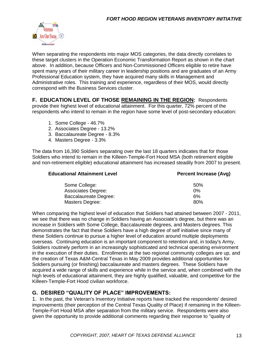

When separating the respondents into major MOS categories, the data directly correlates to these target clusters in the Operation Economic Transformation Report as shown in the chart above. In addition, because Officers and Non-Commissioned Officers eligible to retire have spent many years of their military career in leadership positions and are graduates of an Army Professional Education system, they have acquired many skills in Management and Administrative roles. This training and experience, regardless of their MOS, would directly correspond with the Business Services cluster.

**F. EDUCATION LEVEL OF THOSE REMAINING IN THE REGION:** Respondents provide their highest level of educational attainment. For this quarter, 72% percent of the respondents who intend to remain in the region have some level of post-secondary education:

- 1. Some College 46.7%
- 2. Associates Degree 13.2%
- 3. Baccalaureate Degree 8.3%
- 4. Masters Degree 3.3%

The data from 16,390 Soldiers separating over the last 18 quarters indicates that for those Soldiers who intend to remain in the Killeen-Temple-Fort Hood MSA (both retirement eligible and non-retirement eligible) educational attainment has increased steadily from 2007 to present.

| <b>Educational Attainment Level</b> | <b>Percent Increase (Avg)</b> |
|-------------------------------------|-------------------------------|
| Some College:                       | 50%                           |
| <b>Associates Degree:</b>           | 0%                            |
| <b>Baccalaureate Degree:</b>        | 6%                            |
| Masters Degree:                     | 80%                           |

When comparing the highest level of education that Soldiers had attained between 2007 - 2011, we see that there was no change in Soldiers having an Associate's degree, but there was an increase in Soldiers with Some College, Baccalaureate degrees, and Masters degrees. This demonstrates the fact that these Soldiers have a high degree of self initiative since many of these Soldiers continue to pursue a higher level of education around multiple deployments overseas. Continuing education is an important component to retention and, in today's Army, Soldiers routinely perform in an increasingly sophisticated and technical operating environment in the execution of their duties. Enrollments at the two regional community colleges are up, and the creation of Texas A&M-Central Texas in May 2009 provides additional opportunities for Soldiers pursuing (or finishing) baccalaureate and masters degrees. These Soldiers have acquired a wide range of skills and experience while in the service and, when combined with the high levels of educational attainment, they are highly qualified, valuable, and competitive for the Killeen-Temple-Fort Hood civilian workforce.

#### **G. DESIRED "QUALITY OF PLACE" IMPROVEMENTS:**

1. In the past, the Veteran's Inventory Initiative reports have tracked the respondents' desired improvements (their perception of the Central Texas Quality of Place) if remaining in the Killeen-Temple-Fort Hood MSA after separation from the military service. Respondents were also given the opportunity to provide additional comments regarding their response to "quality of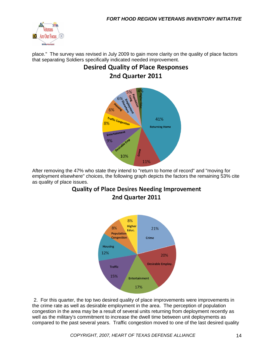

place." The survey was revised in July 2009 to gain more clarity on the quality of place factors that separating Soldiers specifically indicated needed improvement.

# **Desired Quality of Place Responses** 2nd Quarter 2011



After removing the 47% who state they intend to "return to home of record" and "moving for employment elsewhere" choices, the following graph depicts the factors the remaining 53% cite as quality of place issues.

# **Quality of Place Desires Needing Improvement** 2nd Quarter 2011



2. For this quarter, the top two desired quality of place improvements were improvements in the crime rate as well as desirable employment in the area. The perception of population congestion in the area may be a result of several units returning from deployment recently as well as the military's commitment to increase the dwell time between unit deployments as compared to the past several years. Traffic congestion moved to one of the last desired quality